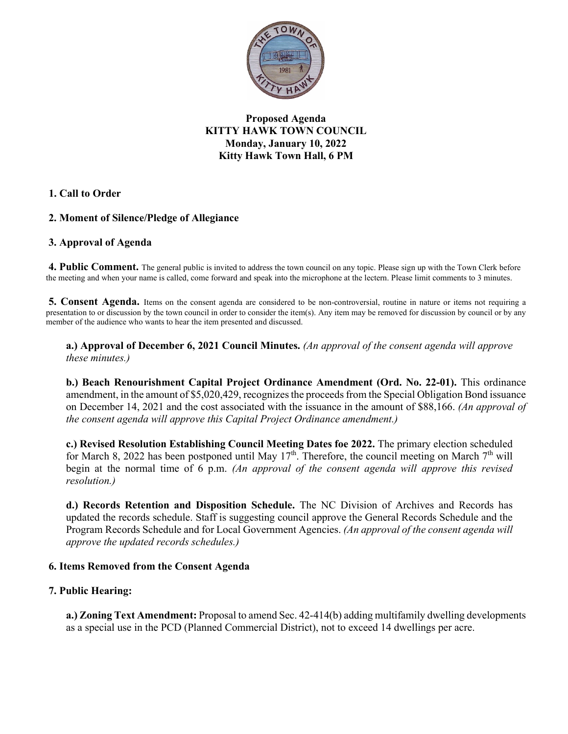

**Proposed Agenda KITTY HAWK TOWN COUNCIL Monday, January 10, 2022 Kitty Hawk Town Hall, 6 PM**

**1. Call to Order** 

# **2. Moment of Silence/Pledge of Allegiance**

### **3. Approval of Agenda**

**4. Public Comment.** The general public is invited to address the town council on any topic. Please sign up with the Town Clerk before the meeting and when your name is called, come forward and speak into the microphone at the lectern. Please limit comments to 3 minutes.

**5. Consent Agenda.** Items on the consent agenda are considered to be non-controversial, routine in nature or items not requiring a presentation to or discussion by the town council in order to consider the item(s). Any item may be removed for discussion by council or by any member of the audience who wants to hear the item presented and discussed.

**a.) Approval of December 6, 2021 Council Minutes.** *(An approval of the consent agenda will approve these minutes.)* 

**b.) Beach Renourishment Capital Project Ordinance Amendment (Ord. No. 22-01).** This ordinance amendment, in the amount of \$5,020,429, recognizes the proceeds from the Special Obligation Bond issuance on December 14, 2021 and the cost associated with the issuance in the amount of \$88,166. *(An approval of the consent agenda will approve this Capital Project Ordinance amendment.)*

**c.) Revised Resolution Establishing Council Meeting Dates foe 2022.** The primary election scheduled for March 8, 2022 has been postponed until May  $17<sup>th</sup>$ . Therefore, the council meeting on March  $7<sup>th</sup>$  will begin at the normal time of 6 p.m. *(An approval of the consent agenda will approve this revised resolution.)* 

**d.) Records Retention and Disposition Schedule.** The NC Division of Archives and Records has updated the records schedule. Staff is suggesting council approve the General Records Schedule and the Program Records Schedule and for Local Government Agencies. *(An approval of the consent agenda will approve the updated records schedules.)* 

#### **6. Items Removed from the Consent Agenda**

# **7. Public Hearing:**

**a.) Zoning Text Amendment:** Proposal to amend Sec. 42-414(b) adding multifamily dwelling developments as a special use in the PCD (Planned Commercial District), not to exceed 14 dwellings per acre.